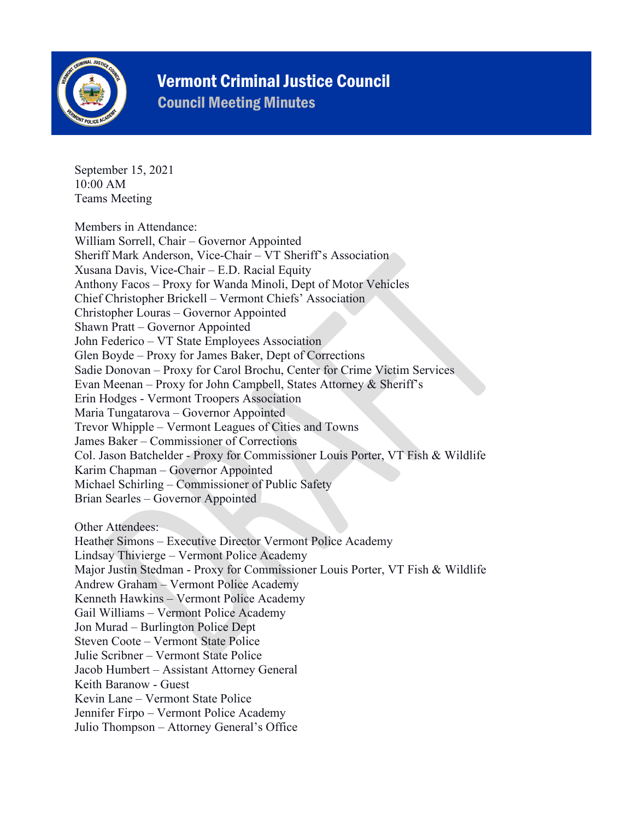

## Vermont Criminal Justice Council

Council Meeting Minutes

September 15, 2021 10:00 AM Teams Meeting

Members in Attendance: William Sorrell, Chair – Governor Appointed Sheriff Mark Anderson, Vice-Chair – VT Sheriff's Association Xusana Davis, Vice-Chair – E.D. Racial Equity Anthony Facos – Proxy for Wanda Minoli, Dept of Motor Vehicles Chief Christopher Brickell – Vermont Chiefs' Association Christopher Louras – Governor Appointed Shawn Pratt – Governor Appointed John Federico – VT State Employees Association Glen Boyde – Proxy for James Baker, Dept of Corrections Sadie Donovan – Proxy for Carol Brochu, Center for Crime Victim Services Evan Meenan – Proxy for John Campbell, States Attorney & Sheriff's Erin Hodges - Vermont Troopers Association Maria Tungatarova – Governor Appointed Trevor Whipple – Vermont Leagues of Cities and Towns James Baker – Commissioner of Corrections Col. Jason Batchelder - Proxy for Commissioner Louis Porter, VT Fish & Wildlife Karim Chapman – Governor Appointed Michael Schirling – Commissioner of Public Safety Brian Searles – Governor Appointed

Other Attendees:

Heather Simons – Executive Director Vermont Police Academy Lindsay Thivierge – Vermont Police Academy Major Justin Stedman - Proxy for Commissioner Louis Porter, VT Fish & Wildlife Andrew Graham – Vermont Police Academy Kenneth Hawkins – Vermont Police Academy Gail Williams – Vermont Police Academy Jon Murad – Burlington Police Dept Steven Coote – Vermont State Police Julie Scribner – Vermont State Police Jacob Humbert – Assistant Attorney General Keith Baranow - Guest Kevin Lane – Vermont State Police Jennifer Firpo – Vermont Police Academy Julio Thompson – Attorney General's Office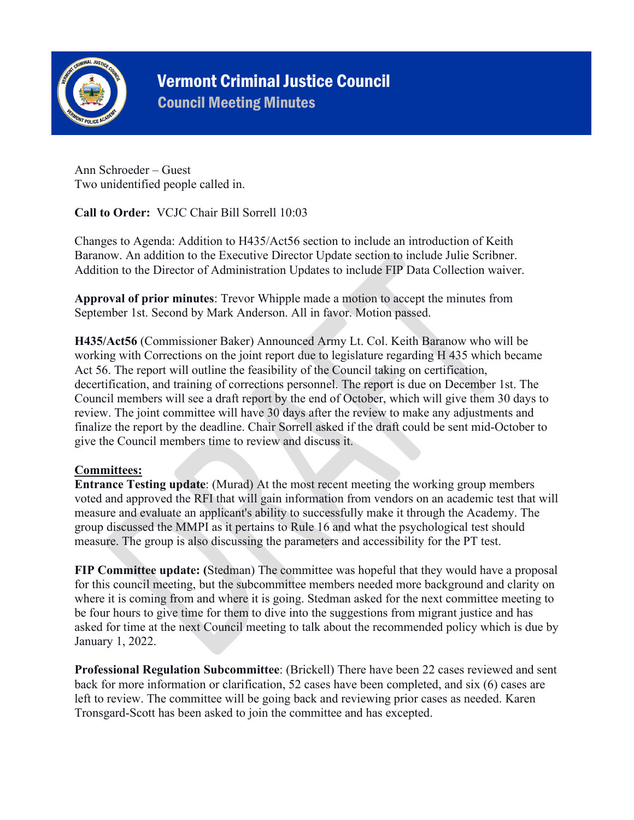

# Vermont Criminal Justice Council

Council Meeting Minutes

Ann Schroeder – Guest Two unidentified people called in.

**Call to Order:** VCJC Chair Bill Sorrell 10:03

Changes to Agenda: Addition to H435/Act56 section to include an introduction of Keith Baranow. An addition to the Executive Director Update section to include Julie Scribner. Addition to the Director of Administration Updates to include FIP Data Collection waiver.

**Approval of prior minutes**: Trevor Whipple made a motion to accept the minutes from September 1st. Second by Mark Anderson. All in favor. Motion passed.

**H435/Act56** (Commissioner Baker) Announced Army Lt. Col. Keith Baranow who will be working with Corrections on the joint report due to legislature regarding H 435 which became Act 56. The report will outline the feasibility of the Council taking on certification, decertification, and training of corrections personnel. The report is due on December 1st. The Council members will see a draft report by the end of October, which will give them 30 days to review. The joint committee will have 30 days after the review to make any adjustments and finalize the report by the deadline. Chair Sorrell asked if the draft could be sent mid-October to give the Council members time to review and discuss it.

### **Committees:**

**Entrance Testing update**: (Murad) At the most recent meeting the working group members voted and approved the RFI that will gain information from vendors on an academic test that will measure and evaluate an applicant's ability to successfully make it through the Academy. The group discussed the MMPI as it pertains to Rule 16 and what the psychological test should measure. The group is also discussing the parameters and accessibility for the PT test.

**FIP Committee update: (**Stedman) The committee was hopeful that they would have a proposal for this council meeting, but the subcommittee members needed more background and clarity on where it is coming from and where it is going. Stedman asked for the next committee meeting to be four hours to give time for them to dive into the suggestions from migrant justice and has asked for time at the next Council meeting to talk about the recommended policy which is due by January 1, 2022.

**Professional Regulation Subcommittee**: (Brickell) There have been 22 cases reviewed and sent back for more information or clarification, 52 cases have been completed, and six (6) cases are left to review. The committee will be going back and reviewing prior cases as needed. Karen Tronsgard-Scott has been asked to join the committee and has excepted.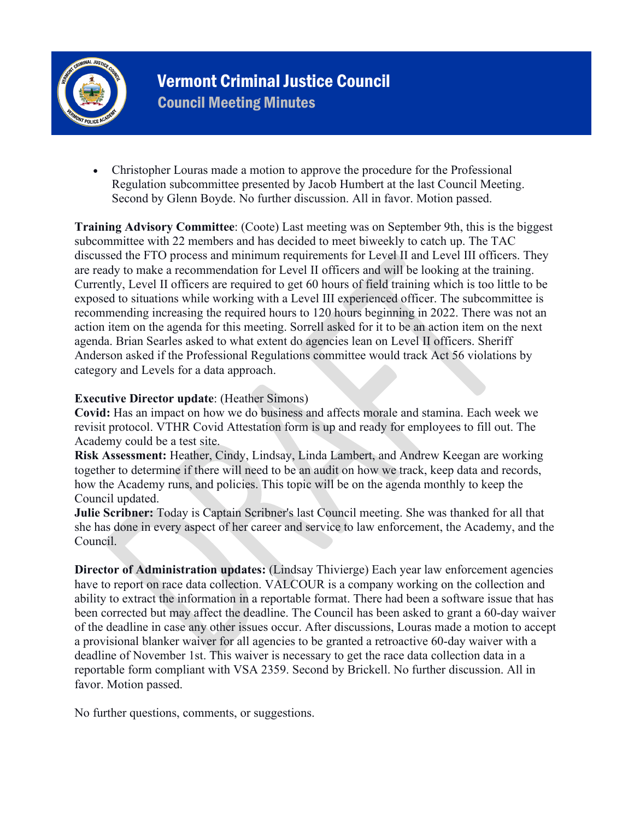

Vermont Criminal Justice Council Council Meeting Minutes

• Christopher Louras made a motion to approve the procedure for the Professional Regulation subcommittee presented by Jacob Humbert at the last Council Meeting. Second by Glenn Boyde. No further discussion. All in favor. Motion passed.

**Training Advisory Committee**: (Coote) Last meeting was on September 9th, this is the biggest subcommittee with 22 members and has decided to meet biweekly to catch up. The TAC discussed the FTO process and minimum requirements for Level II and Level III officers. They are ready to make a recommendation for Level II officers and will be looking at the training. Currently, Level II officers are required to get 60 hours of field training which is too little to be exposed to situations while working with a Level III experienced officer. The subcommittee is recommending increasing the required hours to 120 hours beginning in 2022. There was not an action item on the agenda for this meeting. Sorrell asked for it to be an action item on the next agenda. Brian Searles asked to what extent do agencies lean on Level II officers. Sheriff Anderson asked if the Professional Regulations committee would track Act 56 violations by category and Levels for a data approach.

#### **Executive Director update**: (Heather Simons)

**Covid:** Has an impact on how we do business and affects morale and stamina. Each week we revisit protocol. VTHR Covid Attestation form is up and ready for employees to fill out. The Academy could be a test site.

**Risk Assessment:** Heather, Cindy, Lindsay, Linda Lambert, and Andrew Keegan are working together to determine if there will need to be an audit on how we track, keep data and records, how the Academy runs, and policies. This topic will be on the agenda monthly to keep the Council updated.

**Julie Scribner:** Today is Captain Scribner's last Council meeting. She was thanked for all that she has done in every aspect of her career and service to law enforcement, the Academy, and the Council.

**Director of Administration updates:** (Lindsay Thivierge) Each year law enforcement agencies have to report on race data collection. VALCOUR is a company working on the collection and ability to extract the information in a reportable format. There had been a software issue that has been corrected but may affect the deadline. The Council has been asked to grant a 60-day waiver of the deadline in case any other issues occur. After discussions, Louras made a motion to accept a provisional blanker waiver for all agencies to be granted a retroactive 60-day waiver with a deadline of November 1st. This waiver is necessary to get the race data collection data in a reportable form compliant with VSA 2359. Second by Brickell. No further discussion. All in favor. Motion passed.

No further questions, comments, or suggestions.